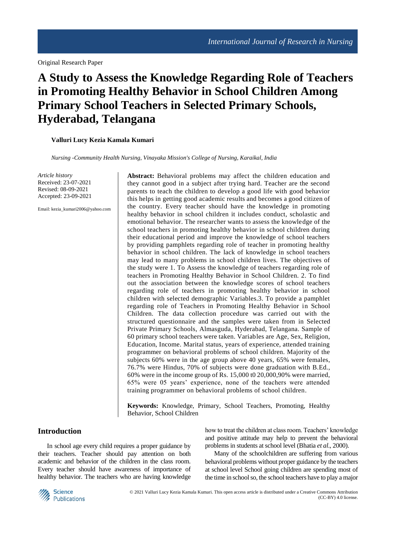Original Research Paper

# **A Study to Assess the Knowledge Regarding Role of Teachers in Promoting Healthy Behavior in School Children Among Primary School Teachers in Selected Primary Schools, Hyderabad, Telangana**

#### **Valluri Lucy Kezia Kamala Kumari**

*Nursing -Community Health Nursing, Vinayaka Mission's College of Nursing, Karaikal, India*

*Article history* Received: 23-07-2021 Revised: 08-09-2021 Accepted: 23-09-2021

Email: kezia\_kumari2006@yahoo.com

**Abstract:** Behavioral problems may affect the children education and they cannot good in a subject after trying hard. Teacher are the second parents to teach the children to develop a good life with good behavior this helps in getting good academic results and becomes a good citizen of the country. Every teacher should have the knowledge in promoting healthy behavior in school children it includes conduct, scholastic and emotional behavior. The researcher wants to assess the knowledge of the school teachers in promoting healthy behavior in school children during their educational period and improve the knowledge of school teachers by providing pamphlets regarding role of teacher in promoting healthy behavior in school children. The lack of knowledge in school teachers may lead to many problems in school children lives. The objectives of the study were 1. To Assess the knowledge of teachers regarding role of teachers in Promoting Healthy Behavior in School Children. 2. To find out the association between the knowledge scores of school teachers regarding role of teachers in promoting healthy behavior in school children with selected demographic Variables.3. To provide a pamphlet regarding role of Teachers in Promoting Healthy Behavior in School Children. The data collection procedure was carried out with the structured questionnaire and the samples were taken from in Selected Private Primary Schools, Almasguda, Hyderabad, Telangana. Sample of 60 primary school teachers were taken. Variables are Age, Sex, Religion, Education, Income. Marital status, years of experience, attended training programmer on behavioral problems of school children. Majority of the subjects 60% were in the age group above 40 years, 65% were females, 76.7% were Hindus, 70% of subjects were done graduation with B.Ed., 60% were in the income group of Rs. 15,000 t0 20,000,90% were married, 65% were 05 years' experience, none of the teachers were attended training programmer on behavioral problems of school children.

**Keywords:** Knowledge, Primary, School Teachers, Promoting, Healthy Behavior, School Children

## **Introduction**

In school age every child requires a proper guidance by their teachers. Teacher should pay attention on both academic and behavior of the children in the class room. Every teacher should have awareness of importance of healthy behavior. The teachers who are having knowledge how to treat the children at class room. Teachers' knowledge and positive attitude may help to prevent the behavioral problems in students at school level (Bhatia *et al*., 2000).

Many of the schoolchildren are suffering from various behavioral problems without proper guidance by the teachers at school level School going children are spending most of the time in school so, the school teachers have to play a major

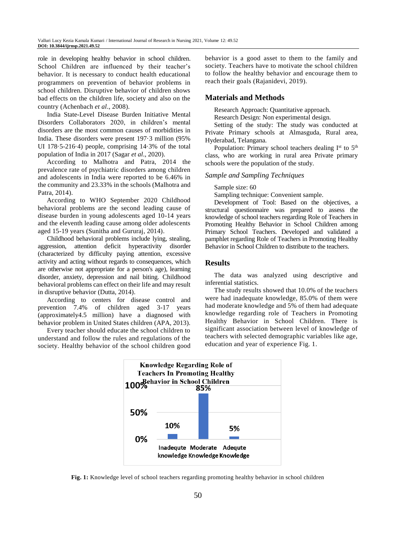role in developing healthy behavior in school children. School Children are influenced by their teacher's behavior. It is necessary to conduct health educational programmers on prevention of behavior problems in school children. Disruptive behavior of children shows bad effects on the children life, society and also on the country (Achenbach *et al*., 2008).

India State-Level Disease Burden Initiative Mental Disorders Collaborators 2020, in children's mental disorders are the most common causes of morbidities in India. These disorders were present 197·3 million (95% UI 178·5-216·4) people, comprising 14·3% of the total population of India in 2017 (Sagar *et al*., 2020).

According to Malhotra and Patra, 2014 the prevalence rate of psychiatric disorders among children and adolescents in India were reported to be 6.46% in the community and 23.33% in the schools (Malhotra and Patra, 2014).

According to WHO September 2020 Childhood behavioral problems are the second leading cause of disease burden in young adolescents aged 10-14 years and the eleventh leading cause among older adolescents aged 15-19 years (Sunitha and Gururaj, 2014).

Childhood behavioral problems include lying, stealing, aggression, attention deficit hyperactivity disorder (characterized by difficulty paying attention, excessive activity and acting without regards to consequences, which are otherwise not appropriate for a person's age), learning disorder, anxiety, depression and nail biting. Childhood behavioral problems can effect on their life and may result in disruptive behavior (Dutta, 2014).

According to centers for disease control and prevention 7.4% of children aged 3-17 years (approximately4.5 million) have a diagnosed with behavior problem in United States children (APA, 2013).

Every teacher should educate the school children to understand and follow the rules and regulations of the society. Healthy behavior of the school children good behavior is a good asset to them to the family and society. Teachers have to motivate the school children to follow the healthy behavior and encourage them to reach their goals (Rajanidevi, 2019).

## **Materials and Methods**

Research Approach: Quantitative approach.

Research Design: Non experimental design.

Setting of the study: The study was conducted at Private Primary schools at Almasguda, Rural area, Hyderabad, Telangana.

Population: Primary school teachers dealing  $I<sup>st</sup>$  to  $5<sup>th</sup>$ class, who are working in rural area Private primary schools were the population of the study.

#### *Sample and Sampling Techniques*

Sample size: 60

Sampling technique: Convenient sample.

Development of Tool: Based on the objectives, a structural questionnaire was prepared to assess the knowledge of school teachers regarding Role of Teachers in Promoting Healthy Behavior in School Children among Primary School Teachers. Developed and validated a pamphlet regarding Role of Teachers in Promoting Healthy Behavior in School Children to distribute to the teachers.

## **Results**

The data was analyzed using descriptive and inferential statistics.

The study results showed that 10.0% of the teachers were had inadequate knowledge, 85.0% of them were had moderate knowledge and 5% of them had adequate knowledge regarding role of Teachers in Promoting Healthy Behavior in School Children. There is significant association between level of knowledge of teachers with selected demographic variables like age, education and year of experience Fig. 1.



**Fig. 1:** Knowledge level of school teachers regarding promoting healthy behavior in school children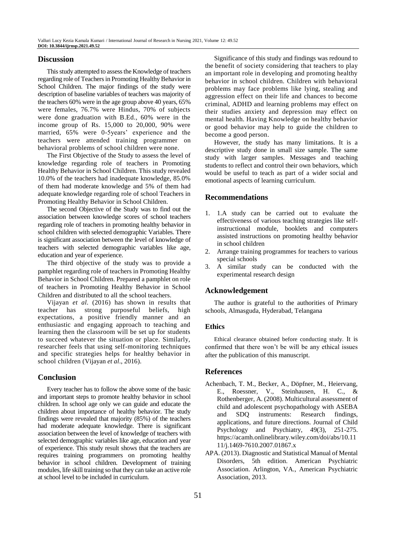## **Discussion**

This study attempted to assess the Knowledge of teachers regarding role of Teachers in Promoting Healthy Behavior in School Children. The major findings of the study were description of baseline variables of teachers was majority of the teachers 60% were in the age group above 40 years, 65% were females, 76.7% were Hindus, 70% of subjects were done graduation with B.Ed., 60% were in the income group of Rs. 15,000 to 20,000, 90% were married, 65% were 0-5years' experience and the teachers were attended training programmer on behavioral problems of school children were none.

The First Objective of the Study to assess the level of knowledge regarding role of teachers in Promoting Healthy Behavior in School Children. This study revealed 10.0% of the teachers had inadequate knowledge, 85.0% of them had moderate knowledge and 5% of them had adequate knowledge regarding role of school Teachers in Promoting Healthy Behavior in School Children.

The second Objective of the Study was to find out the association between knowledge scores of school teachers regarding role of teachers in promoting healthy behavior in school children with selected demographic Variables. There is significant association between the level of knowledge of teachers with selected demographic variables like age, education and year of experience.

The third objective of the study was to provide a pamphlet regarding role of teachers in Promoting Healthy Behavior in School Children. Prepared a pamphlet on role of teachers in Promoting Healthy Behavior in School Children and distributed to all the school teachers.

Vijayan *et al*. (2016) has shown in results that teacher has strong purposeful beliefs, high expectations, a positive friendly manner and an enthusiastic and engaging approach to teaching and learning then the classroom will be set up for students to succeed whatever the situation or place. Similarly, researcher feels that using self-monitoring techniques and specific strategies helps for healthy behavior in school children (Vijayan *et al*., 2016).

## **Conclusion**

Every teacher has to follow the above some of the basic and important steps to promote healthy behavior in school children. In school age only we can guide and educate the children about importance of healthy behavior. The study findings were revealed that majority (85%) of the teachers had moderate adequate knowledge. There is significant association between the level of knowledge of teachers with selected demographic variables like age, education and year of experience. This study result shows that the teachers are requires training programmers on promoting healthy behavior in school children. Development of training modules, life skill training so that they can take an active role at school level to be included in curriculum.

Significance of this study and findings was redound to the benefit of society considering that teachers to play an important role in developing and promoting healthy behavior in school children. Children with behavioral problems may face problems like lying, stealing and aggression effect on their life and chances to become criminal, ADHD and learning problems may effect on their studies anxiety and depression may effect on mental health. Having Knowledge on healthy behavior or good behavior may help to guide the children to become a good person.

However, the study has many limitations. It is a descriptive study done in small size sample. The same study with larger samples. Messages and teaching students to reflect and control their own behaviors, which would be useful to teach as part of a wider social and emotional aspects of learning curriculum.

## **Recommendations**

- 1. 1.A study can be carried out to evaluate the effectiveness of various teaching strategies like selfinstructional module, booklets and computers assisted instructions on promoting healthy behavior in school children
- 2. Arrange training programmes for teachers to various special schools
- 3. A similar study can be conducted with the experimental research design

## **Acknowledgement**

The author is grateful to the authorities of Primary schools, Almasguda, Hyderabad, Telangana

#### **Ethics**

Ethical clearance obtained before conducting study. It is confirmed that there won't be will be any ethical issues after the publication of this manuscript.

## **References**

- Achenbach, T. M., Becker, A., Döpfner, M., Heiervang, E., Roessner, V., Steinhausen, H. C., & Rothenberger, A. (2008). Multicultural assessment of child and adolescent psychopathology with ASEBA and SDQ instruments: Research findings, applications, and future directions. Journal of Child Psychology and Psychiatry, 49(3), 251-275. https://acamh.onlinelibrary.wiley.com/doi/abs/10.11 11/j.1469-7610.2007.01867.x
- APA. (2013). Diagnostic and Statistical Manual of Mental Disorders, 5th edition. American Psychiatric Association. Arlington, VA., American Psychiatric Association, 2013.